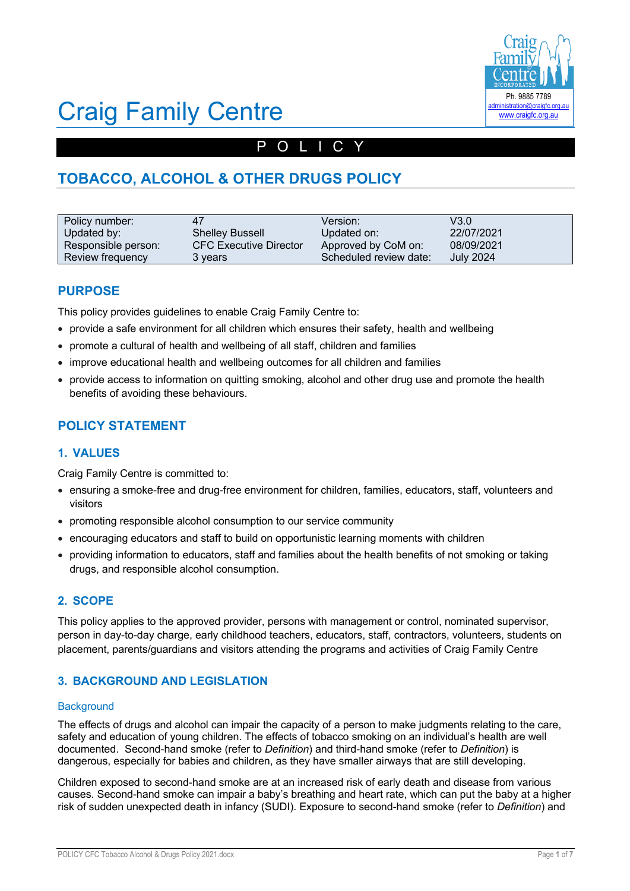

# Craig Family Centre

# POLICY

# **TOBACCO, ALCOHOL & OTHER DRUGS POLICY**

| Policy number:      | 47                            | Version:               | V3.0             |
|---------------------|-------------------------------|------------------------|------------------|
| Updated by:         | <b>Shelley Bussell</b>        | Updated on:            | 22/07/2021       |
| Responsible person: | <b>CFC Executive Director</b> | Approved by CoM on:    | 08/09/2021       |
| Review frequency    | 3 years                       | Scheduled review date: | <b>July 2024</b> |

# **PURPOSE**

This policy provides guidelines to enable Craig Family Centre to:

- provide a safe environment for all children which ensures their safety, health and wellbeing
- promote a cultural of health and wellbeing of all staff, children and families
- improve educational health and wellbeing outcomes for all children and families
- provide access to information on quitting smoking, alcohol and other drug use and promote the health benefits of avoiding these behaviours.

## **POLICY STATEMENT**

#### **1. VALUES**

Craig Family Centre is committed to:

- ensuring a smoke-free and drug-free environment for children, families, educators, staff, volunteers and visitors
- promoting responsible alcohol consumption to our service community
- encouraging educators and staff to build on opportunistic learning moments with children
- providing information to educators, staff and families about the health benefits of not smoking or taking drugs, and responsible alcohol consumption.

#### **2. SCOPE**

This policy applies to the approved provider, persons with management or control, nominated supervisor, person in day-to-day charge, early childhood teachers, educators, staff, contractors, volunteers, students on placement, parents/guardians and visitors attending the programs and activities of Craig Family Centre

#### **3. BACKGROUND AND LEGISLATION**

#### **Background**

The effects of drugs and alcohol can impair the capacity of a person to make judgments relating to the care, safety and education of young children. The effects of tobacco smoking on an individual's health are well documented. Second-hand smoke (refer to *Definition*) and third-hand smoke (refer to *Definition*) is dangerous, especially for babies and children, as they have smaller airways that are still developing.

Children exposed to second-hand smoke are at an increased risk of early death and disease from various causes. Second-hand smoke can impair a baby's breathing and heart rate, which can put the baby at a higher risk of sudden unexpected death in infancy (SUDI). Exposure to second-hand smoke (refer to *Definition*) and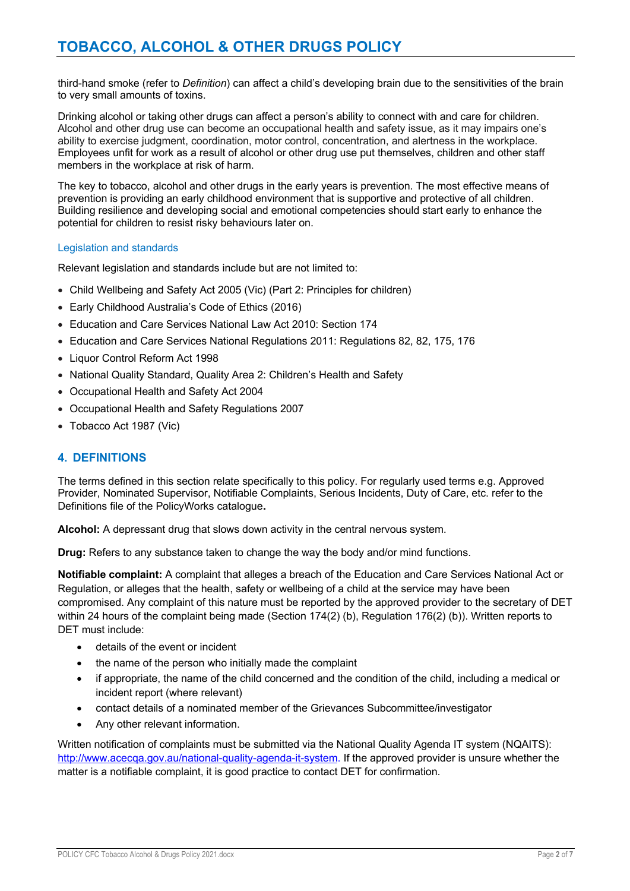third-hand smoke (refer to *Definition*) can affect a child's developing brain due to the sensitivities of the brain to very small amounts of toxins.

Drinking alcohol or taking other drugs can affect a person's ability to connect with and care for children. Alcohol and other drug use can become an occupational health and safety issue, as it may impairs one's ability to exercise judgment, coordination, motor control, concentration, and alertness in the workplace. Employees unfit for work as a result of alcohol or other drug use put themselves, children and other staff members in the workplace at risk of harm.

The key to tobacco, alcohol and other drugs in the early years is prevention. The most effective means of prevention is providing an early childhood environment that is supportive and protective of all children. Building resilience and developing social and emotional competencies should start early to enhance the potential for children to resist risky behaviours later on.

#### Legislation and standards

Relevant legislation and standards include but are not limited to:

- Child Wellbeing and Safety Act 2005 (Vic) (Part 2: Principles for children)
- Early Childhood Australia's Code of Ethics (2016)
- Education and Care Services National Law Act 2010: Section 174
- Education and Care Services National Regulations 2011: Regulations 82, 82, 175, 176
- Liquor Control Reform Act 1998
- National Quality Standard, Quality Area 2: Children's Health and Safety
- Occupational Health and Safety Act 2004
- Occupational Health and Safety Regulations 2007
- Tobacco Act 1987 (Vic)

#### **4. DEFINITIONS**

The terms defined in this section relate specifically to this policy. For regularly used terms e.g. Approved Provider, Nominated Supervisor, Notifiable Complaints, Serious Incidents, Duty of Care, etc. refer to the Definitions file of the PolicyWorks catalogue**.**

**Alcohol:** A depressant drug that slows down activity in the central nervous system.

**Drug:** Refers to any substance taken to change the way the body and/or mind functions.

**Notifiable complaint:** A complaint that alleges a breach of the Education and Care Services National Act or Regulation, or alleges that the health, safety or wellbeing of a child at the service may have been compromised. Any complaint of this nature must be reported by the approved provider to the secretary of DET within 24 hours of the complaint being made (Section 174(2) (b), Regulation 176(2) (b)). Written reports to DET must include:

- details of the event or incident
- the name of the person who initially made the complaint
- if appropriate, the name of the child concerned and the condition of the child, including a medical or incident report (where relevant)
- contact details of a nominated member of the Grievances Subcommittee/investigator
- Any other relevant information.

Written notification of complaints must be submitted via the National Quality Agenda IT system (NQAITS): http://www.acecqa.gov.au/national-quality-agenda-it-system. If the approved provider is unsure whether the matter is a notifiable complaint, it is good practice to contact DET for confirmation.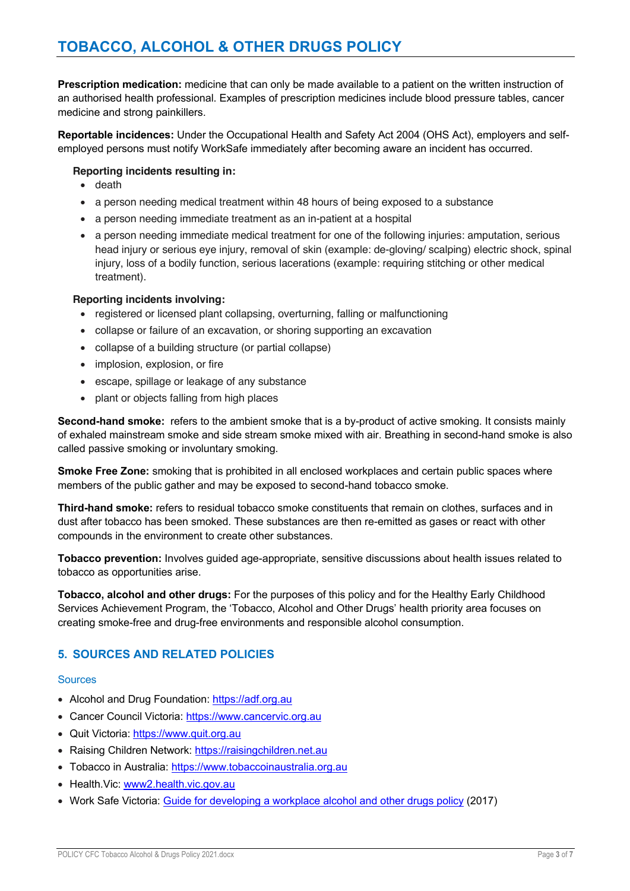**Prescription medication:** medicine that can only be made available to a patient on the written instruction of an authorised health professional. Examples of prescription medicines include blood pressure tables, cancer medicine and strong painkillers.

**Reportable incidences:** Under the Occupational Health and Safety Act 2004 (OHS Act), employers and selfemployed persons must notify WorkSafe immediately after becoming aware an incident has occurred.

#### **Reporting incidents resulting in:**

- death
- a person needing medical treatment within 48 hours of being exposed to a substance
- a person needing immediate treatment as an in-patient at a hospital
- a person needing immediate medical treatment for one of the following injuries: amputation, serious head injury or serious eye injury, removal of skin (example: de-gloving/ scalping) electric shock, spinal injury, loss of a bodily function, serious lacerations (example: requiring stitching or other medical treatment).

#### **Reporting incidents involving:**

- registered or licensed plant collapsing, overturning, falling or malfunctioning
- collapse or failure of an excavation, or shoring supporting an excavation
- collapse of a building structure (or partial collapse)
- implosion, explosion, or fire
- escape, spillage or leakage of any substance
- plant or objects falling from high places

**Second-hand smoke:** refers to the ambient smoke that is a by-product of active smoking. It consists mainly of exhaled mainstream smoke and side stream smoke mixed with air. Breathing in second-hand smoke is also called passive smoking or involuntary smoking.

**Smoke Free Zone:** smoking that is prohibited in all enclosed workplaces and certain public spaces where members of the public gather and may be exposed to second-hand tobacco smoke.

**Third-hand smoke:** refers to residual tobacco smoke constituents that remain on clothes, surfaces and in dust after tobacco has been smoked. These substances are then re-emitted as gases or react with other compounds in the environment to create other substances.

**Tobacco prevention:** Involves guided age-appropriate, sensitive discussions about health issues related to tobacco as opportunities arise.

**Tobacco, alcohol and other drugs:** For the purposes of this policy and for the Healthy Early Childhood Services Achievement Program, the 'Tobacco, Alcohol and Other Drugs' health priority area focuses on creating smoke-free and drug-free environments and responsible alcohol consumption.

## **5. SOURCES AND RELATED POLICIES**

#### Sources

- Alcohol and Drug Foundation: https://adf.org.au
- Cancer Council Victoria: https://www.cancervic.org.au
- Quit Victoria: https://www.quit.org.au
- Raising Children Network: https://raisingchildren.net.au
- Tobacco in Australia: https://www.tobaccoinaustralia.org.au
- Health.Vic: www2.health.vic.gov.au
- Work Safe Victoria: Guide for developing a workplace alcohol and other drugs policy (2017)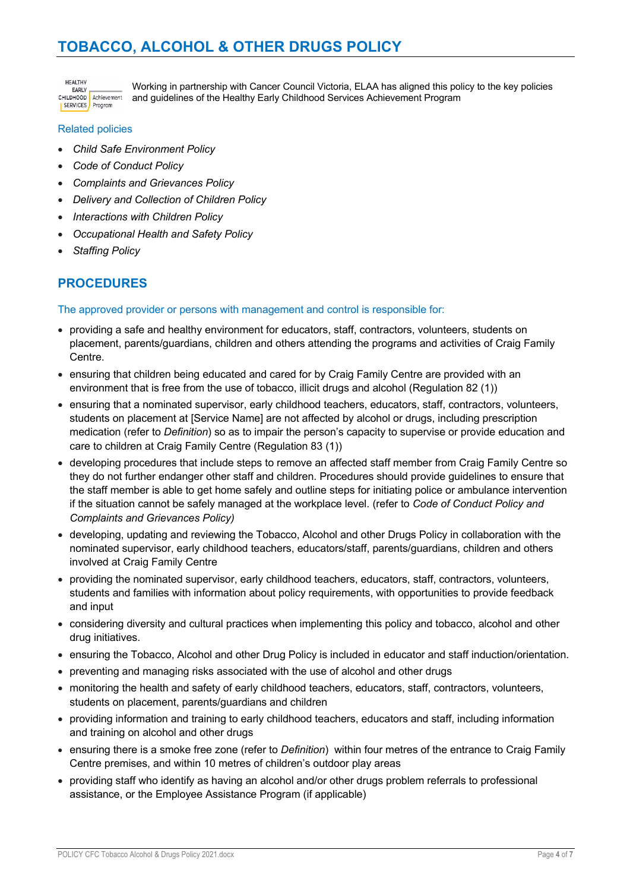# **TOBACCO, ALCOHOL & OTHER DRUGS POLICY**

HEALTHY EARLY CHILDHOOD<br>| SERVICES | Program

Working in partnership with Cancer Council Victoria, ELAA has aligned this policy to the key policies and guidelines of the Healthy Early Childhood Services Achievement Program

#### Related policies

- *Child Safe Environment Policy*
- *Code of Conduct Policy*
- *Complaints and Grievances Policy*
- *Delivery and Collection of Children Policy*
- *Interactions with Children Policy*
- *Occupational Health and Safety Policy*
- *Staffing Policy*

## **PROCEDURES**

#### The approved provider or persons with management and control is responsible for:

- providing a safe and healthy environment for educators, staff, contractors, volunteers, students on placement, parents/guardians, children and others attending the programs and activities of Craig Family Centre.
- ensuring that children being educated and cared for by Craig Family Centre are provided with an environment that is free from the use of tobacco, illicit drugs and alcohol (Regulation 82 (1))
- ensuring that a nominated supervisor, early childhood teachers, educators, staff, contractors, volunteers, students on placement at [Service Name] are not affected by alcohol or drugs, including prescription medication (refer to *Definition*) so as to impair the person's capacity to supervise or provide education and care to children at Craig Family Centre (Regulation 83 (1))
- developing procedures that include steps to remove an affected staff member from Craig Family Centre so they do not further endanger other staff and children. Procedures should provide guidelines to ensure that the staff member is able to get home safely and outline steps for initiating police or ambulance intervention if the situation cannot be safely managed at the workplace level. (refer to *Code of Conduct Policy and Complaints and Grievances Policy)*
- developing, updating and reviewing the Tobacco, Alcohol and other Drugs Policy in collaboration with the nominated supervisor, early childhood teachers, educators/staff, parents/guardians, children and others involved at Craig Family Centre
- providing the nominated supervisor, early childhood teachers, educators, staff, contractors, volunteers, students and families with information about policy requirements, with opportunities to provide feedback and input
- considering diversity and cultural practices when implementing this policy and tobacco, alcohol and other drug initiatives.
- ensuring the Tobacco, Alcohol and other Drug Policy is included in educator and staff induction/orientation.
- preventing and managing risks associated with the use of alcohol and other drugs
- monitoring the health and safety of early childhood teachers, educators, staff, contractors, volunteers, students on placement, parents/guardians and children
- providing information and training to early childhood teachers, educators and staff, including information and training on alcohol and other drugs
- ensuring there is a smoke free zone (refer to *Definition*) within four metres of the entrance to Craig Family Centre premises, and within 10 metres of children's outdoor play areas
- providing staff who identify as having an alcohol and/or other drugs problem referrals to professional assistance, or the Employee Assistance Program (if applicable)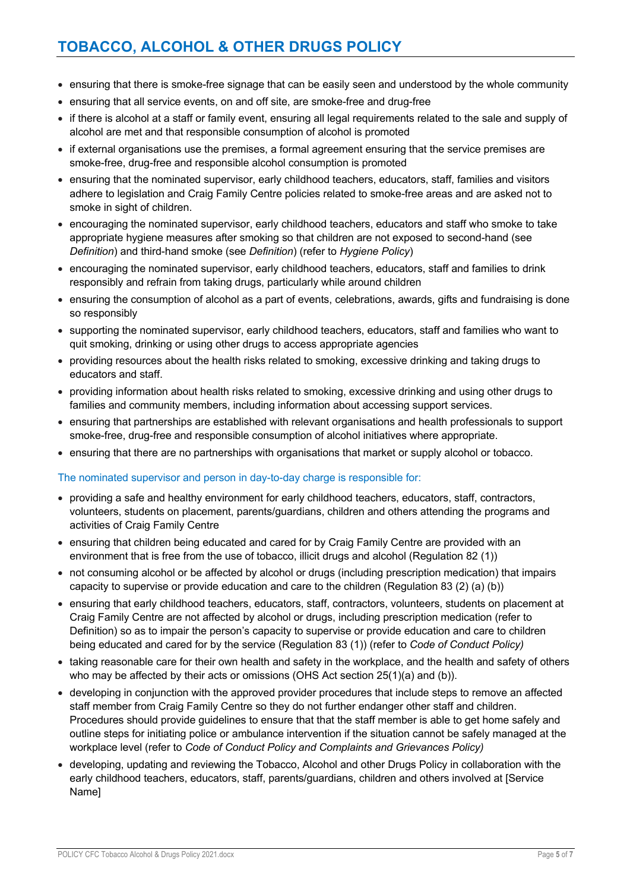- ensuring that there is smoke-free signage that can be easily seen and understood by the whole community
- ensuring that all service events, on and off site, are smoke-free and drug-free
- if there is alcohol at a staff or family event, ensuring all legal requirements related to the sale and supply of alcohol are met and that responsible consumption of alcohol is promoted
- if external organisations use the premises, a formal agreement ensuring that the service premises are smoke-free, drug-free and responsible alcohol consumption is promoted
- ensuring that the nominated supervisor, early childhood teachers, educators, staff, families and visitors adhere to legislation and Craig Family Centre policies related to smoke-free areas and are asked not to smoke in sight of children.
- encouraging the nominated supervisor, early childhood teachers, educators and staff who smoke to take appropriate hygiene measures after smoking so that children are not exposed to second-hand (see *Definition*) and third-hand smoke (see *Definition*) (refer to *Hygiene Policy*)
- encouraging the nominated supervisor, early childhood teachers, educators, staff and families to drink responsibly and refrain from taking drugs, particularly while around children
- ensuring the consumption of alcohol as a part of events, celebrations, awards, gifts and fundraising is done so responsibly
- supporting the nominated supervisor, early childhood teachers, educators, staff and families who want to quit smoking, drinking or using other drugs to access appropriate agencies
- providing resources about the health risks related to smoking, excessive drinking and taking drugs to educators and staff.
- providing information about health risks related to smoking, excessive drinking and using other drugs to families and community members, including information about accessing support services.
- ensuring that partnerships are established with relevant organisations and health professionals to support smoke-free, drug-free and responsible consumption of alcohol initiatives where appropriate.
- ensuring that there are no partnerships with organisations that market or supply alcohol or tobacco.

#### The nominated supervisor and person in day-to-day charge is responsible for:

- providing a safe and healthy environment for early childhood teachers, educators, staff, contractors, volunteers, students on placement, parents/guardians, children and others attending the programs and activities of Craig Family Centre
- ensuring that children being educated and cared for by Craig Family Centre are provided with an environment that is free from the use of tobacco, illicit drugs and alcohol (Regulation 82 (1))
- not consuming alcohol or be affected by alcohol or drugs (including prescription medication) that impairs capacity to supervise or provide education and care to the children (Regulation 83 (2) (a) (b))
- ensuring that early childhood teachers, educators, staff, contractors, volunteers, students on placement at Craig Family Centre are not affected by alcohol or drugs, including prescription medication (refer to Definition) so as to impair the person's capacity to supervise or provide education and care to children being educated and cared for by the service (Regulation 83 (1)) (refer to *Code of Conduct Policy)*
- taking reasonable care for their own health and safety in the workplace, and the health and safety of others who may be affected by their acts or omissions (OHS Act section 25(1)(a) and (b)).
- developing in conjunction with the approved provider procedures that include steps to remove an affected staff member from Craig Family Centre so they do not further endanger other staff and children. Procedures should provide guidelines to ensure that that the staff member is able to get home safely and outline steps for initiating police or ambulance intervention if the situation cannot be safely managed at the workplace level (refer to *Code of Conduct Policy and Complaints and Grievances Policy)*
- developing, updating and reviewing the Tobacco, Alcohol and other Drugs Policy in collaboration with the early childhood teachers, educators, staff, parents/guardians, children and others involved at [Service Name]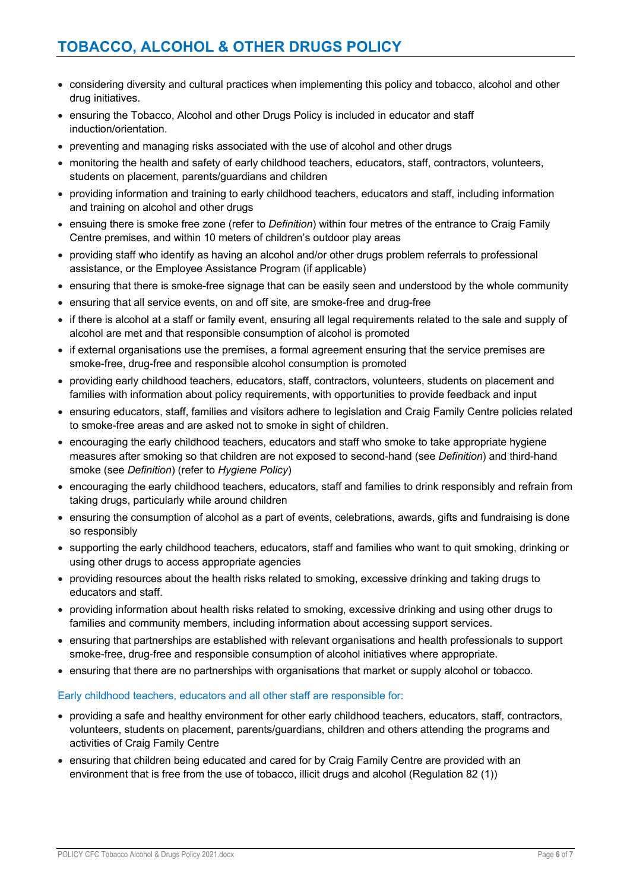- considering diversity and cultural practices when implementing this policy and tobacco, alcohol and other drug initiatives.
- ensuring the Tobacco, Alcohol and other Drugs Policy is included in educator and staff induction/orientation.
- preventing and managing risks associated with the use of alcohol and other drugs
- monitoring the health and safety of early childhood teachers, educators, staff, contractors, volunteers, students on placement, parents/guardians and children
- providing information and training to early childhood teachers, educators and staff, including information and training on alcohol and other drugs
- ensuing there is smoke free zone (refer to *Definition*) within four metres of the entrance to Craig Family Centre premises, and within 10 meters of children's outdoor play areas
- providing staff who identify as having an alcohol and/or other drugs problem referrals to professional assistance, or the Employee Assistance Program (if applicable)
- ensuring that there is smoke-free signage that can be easily seen and understood by the whole community
- ensuring that all service events, on and off site, are smoke-free and drug-free
- if there is alcohol at a staff or family event, ensuring all legal requirements related to the sale and supply of alcohol are met and that responsible consumption of alcohol is promoted
- if external organisations use the premises, a formal agreement ensuring that the service premises are smoke-free, drug-free and responsible alcohol consumption is promoted
- providing early childhood teachers, educators, staff, contractors, volunteers, students on placement and families with information about policy requirements, with opportunities to provide feedback and input
- ensuring educators, staff, families and visitors adhere to legislation and Craig Family Centre policies related to smoke-free areas and are asked not to smoke in sight of children.
- encouraging the early childhood teachers, educators and staff who smoke to take appropriate hygiene measures after smoking so that children are not exposed to second-hand (see *Definition*) and third-hand smoke (see *Definition*) (refer to *Hygiene Policy*)
- encouraging the early childhood teachers, educators, staff and families to drink responsibly and refrain from taking drugs, particularly while around children
- ensuring the consumption of alcohol as a part of events, celebrations, awards, gifts and fundraising is done so responsibly
- supporting the early childhood teachers, educators, staff and families who want to quit smoking, drinking or using other drugs to access appropriate agencies
- providing resources about the health risks related to smoking, excessive drinking and taking drugs to educators and staff.
- providing information about health risks related to smoking, excessive drinking and using other drugs to families and community members, including information about accessing support services.
- ensuring that partnerships are established with relevant organisations and health professionals to support smoke-free, drug-free and responsible consumption of alcohol initiatives where appropriate.
- ensuring that there are no partnerships with organisations that market or supply alcohol or tobacco.

#### Early childhood teachers, educators and all other staff are responsible for:

- providing a safe and healthy environment for other early childhood teachers, educators, staff, contractors, volunteers, students on placement, parents/guardians, children and others attending the programs and activities of Craig Family Centre
- ensuring that children being educated and cared for by Craig Family Centre are provided with an environment that is free from the use of tobacco, illicit drugs and alcohol (Regulation 82 (1))